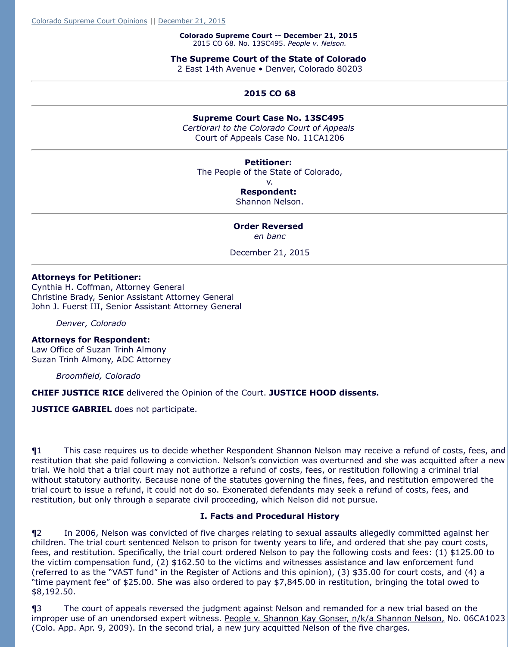**Petitioner:**  The People of the State of Colorado, v. **Respondent:** 

Shannon Nelson.

# **Order Reversed**

*en banc*

December 21, 2015

#### **Attorneys for Petitioner:**

Cynthia H. Coffman, Attorney General Christine Brady, Senior Assistant Attorney General John J. Fuerst III, Senior Assistant Attorney General

*Denver, Colorado*

## **Attorneys for Respondent:**

Law Office of Suzan Trinh Almony Suzan Trinh Almony, ADC Attorney

*Broomfield, Colorado*

**CHIEF JUSTICE RICE** delivered the Opinion of the Court. **JUSTICE HOOD dissents.**

**JUSTICE GABRIEL** does not participate.

 $\P1$  This case requires us to decide whether Respondent Shannon Nelson may redefund of costs, fees, and  $\eta$ restitution that she paid following a conviction. Nelson's conviction was overturned an trial. We hold that a trial court may not authorize a refund of costs, fees, or restitutio without statutory authority. Because none of the statutes governing the fines, fees, and restitution empowered the trial court to issue a refund, it could not do so. Exonerated defendants may seek a ref restitution, but only through a separate civil proceeding, which Nelson did not pursue.

#### **I. Facts and Procedural History**

¶2 In 2006, Nelson was convicted of five charges relating to sexual assaults allegedly children. The trial court sentenced Nelson to prison for twenty years to life, and order fees, and restitution. Specifically, the trial court ordered Nelson to pay the following c the victim compensation fund, (2)  $$162.50$  to the victims and witnesses assistance and (referred to as the "VAST fund" in the Register of Actions and this opinion), (3)  $$35.0$ "time payment fee" of \$25.00. She was also ordered to pay \$7,845.00 in restitution, \$8,192.50.

¶3 The court of appeals reversed the judgment against Nelson and remanded for improper use of an unendorsed expert witness. People v. Shannon Kay Gonser, n/k/a (Colo. App. Apr. 9, 2009). In the second trial, a new jury acquitted Nelson of the five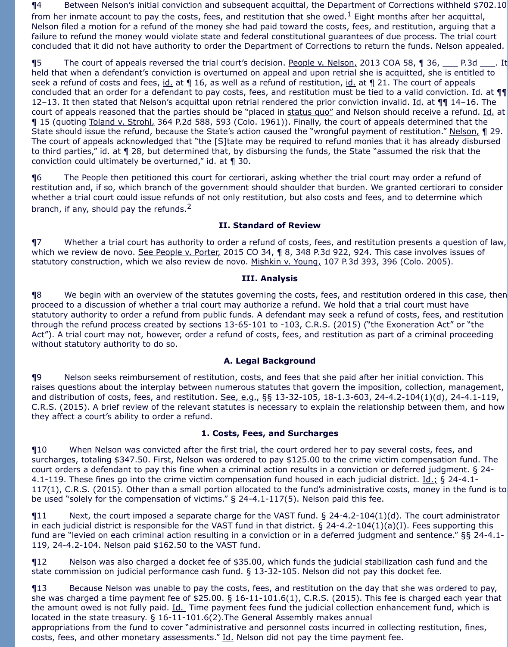¶4 Between Nelson's initial conviction and subsequent acquittal, the Department of Corrections withheld \$702.10 from her inmate account to pay the costs, fees, and restitution that she owed.<sup>1</sup> Eight months after her acquittal, Nelson filed a motion for a refund of the money she had paid toward the costs, fees, and restitution, arguing that a failure to refund the money would violate state and federal constitutional guarantees of due process. The trial court concluded that it did not have authority to order the Department of Corrections to return the funds. Nelson appealed.

**¶5** The court of appeals reversed the trial court's decision. People v. Nelson, 2013 COA 58, ¶ 36, \_\_\_ P.3d \_\_\_\_. It held that when a defendant's conviction is overturned on appeal and upon retrial she is acquitted, she is entitled to seek a refund of costs and fees, id. at 1 16, as well as a refund of restitution, id. at 1 21. The court of appeals concluded that an order for a defendant to pay costs, fees, and restitution must be tied to a valid conviction. Id. at  $\P\P$ 12–13. It then stated that Nelson's acquittal upon retrial rendered the prior conviction invalid. Id. at  $\P\P$  14–16. The court of appeals reasoned that the parties should be "placed in status quo" and Nelson should receive a refund. Id. at ¶ 15 (quoting Toland v. Strohl, 364 P.2d 588, 593 (Colo. 1961)). Finally, the court of appeals determined that the State should issue the refund, because the State's action caused the "wrongful payment of restitution." Nelson, ¶ 29. The court of appeals acknowledged that "the [S]tate may be required to refund monies that it has already disbursed to third parties," id. at 1 28, but determined that, by disbursing the funds, the State "assumed the risk that the conviction could ultimately be overturned,"  $id$  at  $\parallel$  30.

¶6 The People then petitioned this court for certiorari, asking whether the trial court may order a refund of restitution and, if so, which branch of the government should shoulder that burden. We granted certiorari to consider whether a trial court could issue refunds of not only restitution, but also costs and fees, and to determine which branch, if any, should pay the refunds.<sup>2</sup>

## **II. Standard of Review**

¶7 Whether a trial court has authority to order a refund of costs, fees, and restitution presents a question of law, which we review de novo. See People v. Porter, 2015 CO 34, ¶ 8, 348 P.3d 922, 924. This case involves issues of statutory construction, which we also review de novo. Mishkin v. Young, 107 P.3d 393, 396 (Colo. 2005).

#### **III. Analysis**

¶8 We begin with an overview of the statutes governing the costs, fees, and restitution ordered in this case, then proceed to a discussion of whether a trial court may authorize a refund. We hold that a trial court must have statutory authority to order a refund from public funds. A defendant may seek a refund of costs, fees, and restitution through the refund process created by sections 13-65-101 to -103, C.R.S. (2015) ("the Exoneration Act" or "the Act"). A trial court may not, however, order a refund of costs, fees, and restitution as part of a criminal proceeding without statutory authority to do so.

## **A. Legal Background**

¶9 Nelson seeks reimbursement of restitution, costs, and fees that she paid after her initial conviction. This raises questions about the interplay between numerous statutes that govern the imposition, collection, management, and distribution of costs, fees, and restitution. See, e.g., §§ 13-32-105, 18-1.3-603, 24-4.2-104(1)(d), 24-4.1-119, C.R.S. (2015). A brief review of the relevant statutes is necessary to explain the relationship between them, and how they affect a court's ability to order a refund.

#### **1. Costs, Fees, and Surcharges**

¶10 When Nelson was convicted after the first trial, the court ordered her to pay several costs, fees, and surcharges, totaling \$347.50. First, Nelson was ordered to pay \$125.00 to the crime victim compensation fund. The court orders a defendant to pay this fine when a criminal action results in a conviction or deferred judgment. § 24- 4.1-119. These fines go into the crime victim compensation fund housed in each judicial district. Id.; § 24-4.1-117(1), C.R.S. (2015). Other than a small portion allocated to the fund's administrative costs, money in the fund is to be used "solely for the compensation of victims." § 24-4.1-117(5). Nelson paid this fee.

¶11 Next, the court imposed a separate charge for the VAST fund. § 24-4.2-104(1)(d). The court administrator in each judicial district is responsible for the VAST fund in that district. § 24-4.2-104(1)(a)(I). Fees supporting this fund are "levied on each criminal action resulting in a conviction or in a deferred judgment and sentence." §§ 24-4.1- 119, 24-4.2-104. Nelson paid \$162.50 to the VAST fund.

¶12 Nelson was also charged a docket fee of \$35.00, which funds the judicial stabilization cash fund and the state commission on judicial performance cash fund. § 13-32-105. Nelson did not pay this docket fee.

¶13 Because Nelson was unable to pay the costs, fees, and restitution on the day that she was ordered to pay, she was charged a time payment fee of \$25.00. § 16-11-101.6(1), C.R.S. (2015). This fee is charged each year that the amount owed is not fully paid. Id. Time payment fees fund the judicial collection enhancement fund, which is located in the state treasury. § 16-11-101.6(2).The General Assembly makes annual appropriations from the fund to cover "administrative and personnel costs incurred in collecting restitution, fines, costs, fees, and other monetary assessments." Id. Nelson did not pay the time payment fee.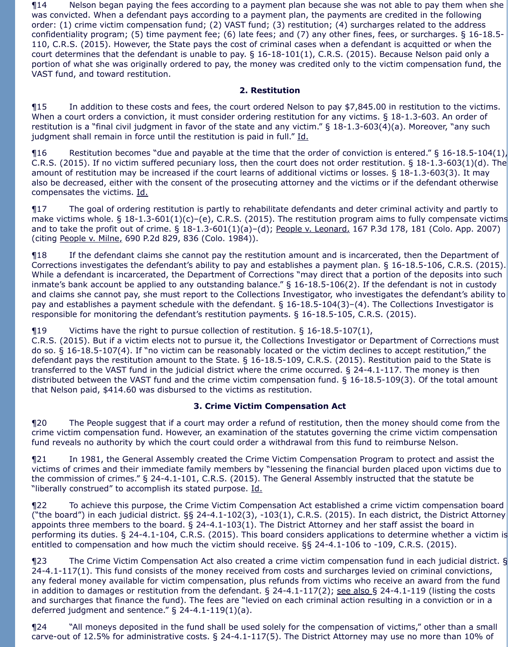¶14 Nelson began paying the fees according to a payment plan because she was not able to pay them when she was convicted. When a defendant pays according to a payment plan, the payments are credited in the following order: (1) crime victim compensation fund; (2) VAST fund; (3) restitution; (4) surcharges related to the address confidentiality program; (5) time payment fee; (6) late fees; and (7) any other fines, fees, or surcharges. § 16-18.5- 110, C.R.S. (2015). However, the State pays the cost of criminal cases when a defendant is acquitted or when the court determines that the defendant is unable to pay. § 16-18-101(1), C.R.S. (2015). Because Nelson paid only a portion of what she was originally ordered to pay, the money was credited only to the victim compensation fund, the VAST fund, and toward restitution.

## **2. Restitution**

¶15 In addition to these costs and fees, the court ordered Nelson to pay \$7,845.00 in restitution to the victims. When a court orders a conviction, it must consider ordering restitution for any victims. § 18-1.3-603. An order of restitution is a "final civil judgment in favor of the state and any victim." § 18-1.3-603(4)(a). Moreover, "any such judgment shall remain in force until the restitution is paid in full." Id.

 $\P$ 16 Restitution becomes "due and payable at the time that the order of conviction is entered." § 16-18.5-104(1), C.R.S. (2015). If no victim suffered pecuniary loss, then the court does not order restitution. § 18-1.3-603(1)(d). The amount of restitution may be increased if the court learns of additional victims or losses. § 18-1.3-603(3). It may also be decreased, either with the consent of the prosecuting attorney and the victims or if the defendant otherwise compensates the victims. Id.

¶17 The goal of ordering restitution is partly to rehabilitate defendants and deter criminal activity and partly to make victims whole. § 18-1.3-601(1)(c)–(e), C.R.S. (2015). The restitution program aims to fully compensate victims and to take the profit out of crime. § 18-1.3-601(1)(a)-(d); People v. Leonard, 167 P.3d 178, 181 (Colo. App. 2007) (citing People v. Milne, 690 P.2d 829, 836 (Colo. 1984)).

¶18 If the defendant claims she cannot pay the restitution amount and is incarcerated, then the Department of Corrections investigates the defendant's ability to pay and establishes a payment plan. § 16-18.5-106, C.R.S. (2015). While a defendant is incarcerated, the Department of Corrections "may direct that a portion of the deposits into such inmate's bank account be applied to any outstanding balance." § 16-18.5-106(2). If the defendant is not in custody and claims she cannot pay, she must report to the Collections Investigator, who investigates the defendant's ability to pay and establishes a payment schedule with the defendant. § 16-18.5-104(3)–(4). The Collections Investigator is responsible for monitoring the defendant's restitution payments. § 16-18.5-105, C.R.S. (2015).

¶19 Victims have the right to pursue collection of restitution. § 16-18.5-107(1),

C.R.S. (2015). But if a victim elects not to pursue it, the Collections Investigator or Department of Corrections must do so. § 16-18.5-107(4). If "no victim can be reasonably located or the victim declines to accept restitution," the defendant pays the restitution amount to the State. § 16-18.5-109, C.R.S. (2015). Restitution paid to the State is transferred to the VAST fund in the judicial district where the crime occurred. § 24-4.1-117. The money is then distributed between the VAST fund and the crime victim compensation fund. § 16-18.5-109(3). Of the total amount that Nelson paid, \$414.60 was disbursed to the victims as restitution.

# **3. Crime Victim Compensation Act**

¶20 The People suggest that if a court may order a refund of restitution, then the money should come from the crime victim compensation fund. However, an examination of the statutes governing the crime victim compensation fund reveals no authority by which the court could order a withdrawal from this fund to reimburse Nelson.

¶21 In 1981, the General Assembly created the Crime Victim Compensation Program to protect and assist the victims of crimes and their immediate family members by "lessening the financial burden placed upon victims due to the commission of crimes." § 24-4.1-101, C.R.S. (2015). The General Assembly instructed that the statute be "liberally construed" to accomplish its stated purpose. Id.

¶22 To achieve this purpose, the Crime Victim Compensation Act established a crime victim compensation board ("the board") in each judicial district. §§ 24-4.1-102(3), -103(1), C.R.S. (2015). In each district, the District Attorney appoints three members to the board. § 24-4.1-103(1). The District Attorney and her staff assist the board in performing its duties. § 24-4.1-104, C.R.S. (2015). This board considers applications to determine whether a victim is entitled to compensation and how much the victim should receive. §§ 24-4.1-106 to -109, C.R.S. (2015).

¶23 The Crime Victim Compensation Act also created a crime victim compensation fund in each judicial district. § 24-4.1-117(1). This fund consists of the money received from costs and surcharges levied on criminal convictions, any federal money available for victim compensation, plus refunds from victims who receive an award from the fund in addition to damages or restitution from the defendant.  $\S$  24-4.1-117(2); see also  $\S$  24-4.1-119 (listing the costs and surcharges that finance the fund). The fees are "levied on each criminal action resulting in a conviction or in a deferred judgment and sentence." § 24-4.1-119(1)(a).

¶24 "All moneys deposited in the fund shall be used solely for the compensation of victims," other than a small carve-out of 12.5% for administrative costs. § 24-4.1-117(5). The District Attorney may use no more than 10% of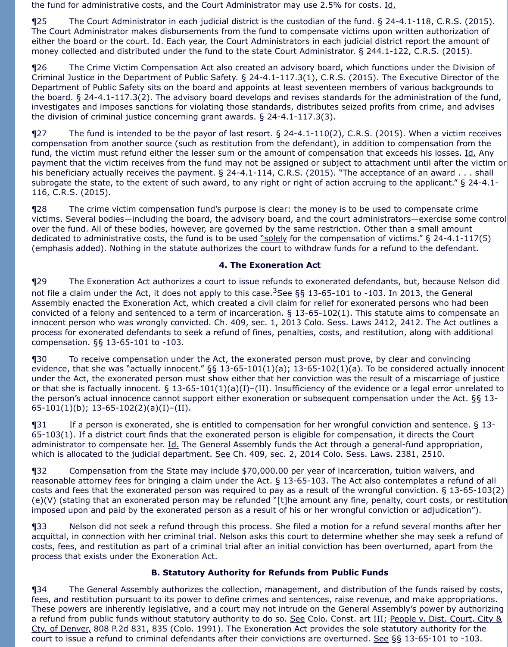the fund for administrative costs, and the Court Administrator may use 2.5% for costs. Id.

¶25 The Court Administrator in each judicial district is the custodian of the fund. § 24-4.1-118, C.R.S. (2015). The Court Administrator makes disbursements from the fund to compensate victims upon written authorization of either the board or the court. Id. Each year, the Court Administrators in each judicial district report the amount of money collected and distributed under the fund to the state Court Administrator. § 244.1-122, C.R.S. (2015).

¶26 The Crime Victim Compensation Act also created an advisory board, which functions under the Division of Criminal Justice in the Department of Public Safety. § 24-4.1-117.3(1), C.R.S. (2015). The Executive Director of the Department of Public Safety sits on the board and appoints at least seventeen members of various backgrounds to the board. § 24-4.1-117.3(2). The advisory board develops and revises standards for the administration of the fund, investigates and imposes sanctions for violating those standards, distributes seized profits from crime, and advises the division of criminal justice concerning grant awards. § 24-4.1-117.3(3).

¶27 The fund is intended to be the payor of last resort. § 24-4.1-110(2), C.R.S. (2015). When a victim receives compensation from another source (such as restitution from the defendant), in addition to compensation from the fund, the victim must refund either the lesser sum or the amount of compensation that exceeds his losses. Id. Any payment that the victim receives from the fund may not be assigned or subject to attachment until after the victim or his beneficiary actually receives the payment. § 24-4.1-114, C.R.S. (2015). "The acceptance of an award . . . shall subrogate the state, to the extent of such award, to any right or right of action accruing to the applicant." § 24-4.1- 116, C.R.S. (2015).

¶28 The crime victim compensation fund's purpose is clear: the money is to be used to compensate crime victims. Several bodies—including the board, the advisory board, and the court administrators—exercise some control over the fund. All of these bodies, however, are governed by the same restriction. Other than a small amount dedicated to administrative costs, the fund is to be used "solely for the compensation of victims." § 24-4.1-117(5) (emphasis added). Nothing in the statute authorizes the court to withdraw funds for a refund to the defendant.

# **4. The Exoneration Act**

¶29 The Exoneration Act authorizes a court to issue refunds to exonerated defendants, but, because Nelson did not file a claim under the Act, it does not apply to this case.  $3$ See §§ 13-65-101 to -103. In 2013, the General Assembly enacted the Exoneration Act, which created a civil claim for relief for exonerated persons who had been convicted of a felony and sentenced to a term of incarceration. § 13-65-102(1). This statute aims to compensate an innocent person who was wrongly convicted. Ch. 409, sec. 1, 2013 Colo. Sess. Laws 2412, 2412. The Act outlines a process for exonerated defendants to seek a refund of fines, penalties, costs, and restitution, along with additional compensation. §§ 13-65-101 to -103.

¶30 To receive compensation under the Act, the exonerated person must prove, by clear and convincing evidence, that she was "actually innocent." §§ 13-65-101(1)(a); 13-65-102(1)(a). To be considered actually innocent under the Act, the exonerated person must show either that her conviction was the result of a miscarriage of justice or that she is factually innocent. § 13-65-101(1)(a)(I)–(II). Insufficiency of the evidence or a legal error unrelated to the person's actual innocence cannot support either exoneration or subsequent compensation under the Act. §§ 13- 65-101(1)(b); 13-65-102(2)(a)(I)-(II).

¶31 If a person is exonerated, she is entitled to compensation for her wrongful conviction and sentence. § 13- 65-103(1). If a district court finds that the exonerated person is eligible for compensation, it directs the Court administrator to compensate her. Id. The General Assembly funds the Act through a general-fund appropriation, which is allocated to the judicial department. See Ch. 409, sec. 2, 2014 Colo. Sess. Laws. 2381, 2510.

¶32 Compensation from the State may include \$70,000.00 per year of incarceration, tuition waivers, and reasonable attorney fees for bringing a claim under the Act. § 13-65-103. The Act also contemplates a refund of all costs and fees that the exonerated person was required to pay as a result of the wrongful conviction. § 13-65-103(2) (e)(V) (stating that an exonerated person may be refunded "[t]he amount any fine, penalty, court costs, or restitution imposed upon and paid by the exonerated person as a result of his or her wrongful conviction or adjudication").

¶33 Nelson did not seek a refund through this process. She filed a motion for a refund several months after her acquittal, in connection with her criminal trial. Nelson asks this court to determine whether she may seek a refund of costs, fees, and restitution as part of a criminal trial after an initial conviction has been overturned, apart from the process that exists under the Exoneration Act.

## **B. Statutory Authority for Refunds from Public Funds**

¶34 The General Assembly authorizes the collection, management, and distribution of the funds raised by costs, fees, and restitution pursuant to its power to define crimes and sentences, raise revenue, and make appropriations. These powers are inherently legislative, and a court may not intrude on the General Assembly's power by authorizing a refund from public funds without statutory authority to do so. See Colo. Const. art III; People v. Dist. Court, City & Cty. of Denver, 808 P.2d 831, 835 (Colo. 1991). The Exoneration Act provides the sole statutory authority for the court to issue a refund to criminal defendants after their convictions are overturned. See §§ 13-65-101 to -103.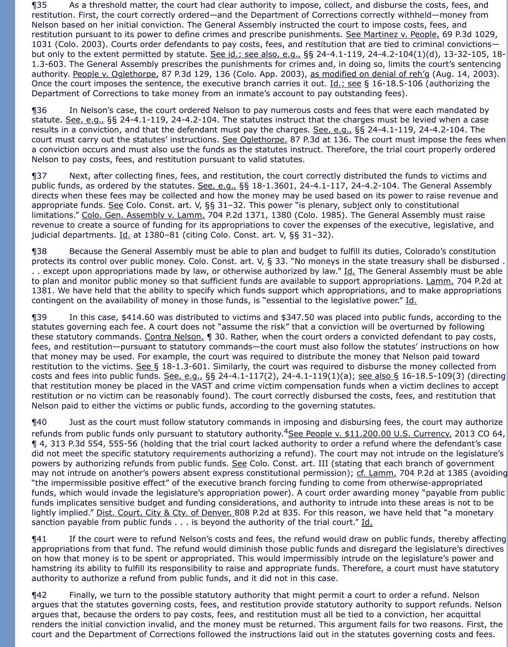¶35 As a threshold matter, the court had clear authority to impose, collect, and disburse the costs, fees, and restitution. First, the court correctly ordered—and the Department of Corrections correctly withheld—money from Nelson based on her initial conviction. The General Assembly instructed the court to impose costs, fees, and restitution pursuant to its power to define crimes and prescribe punishments. See Martinez v. People, 69 P.3d 1029, 1031 (Colo. 2003). Courts order defendants to pay costs, fees, and restitution that are tied to criminal convictions but only to the extent permitted by statute. See id.; see also, e.g., §§ 24-4.1-119, 24-4.2-104(1)(d), 13-32-105, 18-1.3-603. The General Assembly prescribes the punishments for crimes and, in doing so, limits the court's sentencing authority. People v. Oglethorpe, 87 P.3d 129, 136 (Colo. App. 2003), as modified on denial of reh'g (Aug. 14, 2003). Once the court imposes the sentence, the executive branch carries it out. Id.; see § 16-18.5-106 (authorizing the Department of Corrections to take money from an inmate's account to pay outstanding fees).

¶36 In Nelson's case, the court ordered Nelson to pay numerous costs and fees that were each mandated by statute. See, e.g., §§ 24-4.1-119, 24-4.2-104. The statutes instruct that the charges must be levied when a case results in a conviction, and that the defendant must pay the charges. See, e.g., §§ 24-4.1-119, 24-4.2-104. The court must carry out the statutes' instructions. See Oglethorpe, 87 P.3d at 136. The court must impose the fees when a conviction occurs and must also use the funds as the statutes instruct. Therefore, the trial court properly ordered Nelson to pay costs, fees, and restitution pursuant to valid statutes.

¶37 Next, after collecting fines, fees, and restitution, the court correctly distributed the funds to victims and public funds, as ordered by the statutes. See, e.g., §§ 18-1.3601, 24-4.1-117, 24-4.2-104. The General Assembly directs when these fees may be collected and how the money may be used based on its power to raise revenue and appropriate funds. See Colo. Const. art. V, §§ 31-32. This power "is plenary, subject only to constitutional limitations." Colo. Gen. Assembly v. Lamm, 704 P.2d 1371, 1380 (Colo. 1985). The General Assembly must raise revenue to create a source of funding for its appropriations to cover the expenses of the executive, legislative, and judicial departments. Id. at 1380–81 (citing Colo. Const. art. V, §§ 31–32).

¶38 Because the General Assembly must be able to plan and budget to fulfill its duties, Colorado's constitution protects its control over public money. Colo. Const. art. V, § 33. "No moneys in the state treasury shall be disbursed . .. except upon appropriations made by law, or otherwise authorized by law." Id. The General Assembly must be able to plan and monitor public money so that sufficient funds are available to support appropriations. Lamm, 704 P.2d at 1381. We have held that the ability to specify which funds support which appropriations, and to make appropriations contingent on the availability of money in those funds, is "essential to the legislative power." Id.

¶39 In this case, \$414.60 was distributed to victims and \$347.50 was placed into public funds, according to the statutes governing each fee. A court does not "assume the risk" that a conviction will be overturned by following these statutory commands. Contra Nelson, 1 30. Rather, when the court orders a convicted defendant to pay costs, fees, and restitution—pursuant to statutory commands—the court must also follow the statutes' instructions on how that money may be used. For example, the court was required to distribute the money that Nelson paid toward restitution to the victims. See § 18-1.3-601. Similarly, the court was required to disburse the money collected from costs and fees into public funds. See, e.g., §§ 24-4.1-117(2), 24-4.1-119(1)(a); see also § 16-18.5-109(3) (directing that restitution money be placed in the VAST and crime victim compensation funds when a victim declines to accept restitution or no victim can be reasonably found). The court correctly disbursed the costs, fees, and restitution that Nelson paid to either the victims or public funds, according to the governing statutes.

¶40 Just as the court must follow statutory commands in imposing and disbursing fees, the court may authorize refunds from public funds only pursuant to statutory authority.<sup>4</sup>See People v. \$11,200.00 U.S. Currency, 2013 CO 64, ¶ 4, 313 P.3d 554, 555-56 (holding that the trial court lacked authority to order a refund where the defendant's case did not meet the specific statutory requirements authorizing a refund). The court may not intrude on the legislature's powers by authorizing refunds from public funds. See Colo. Const. art. III (stating that each branch of government may not intrude on another's powers absent express constitutional permission); cf. Lamm, 704 P.2d at 1385 (avoiding "the impermissible positive effect" of the executive branch forcing funding to come from otherwise-appropriated funds, which would invade the legislature's appropriation power). A court order awarding money "payable from public funds implicates sensitive budget and funding considerations, and authority to intrude into these areas is not to be lightly implied." Dist. Court, City & Cty. of Denver, 808 P.2d at 835. For this reason, we have held that "a monetary sanction payable from public funds . . . is beyond the authority of the trial court." Id.

¶41 If the court were to refund Nelson's costs and fees, the refund would draw on public funds, thereby affecting appropriations from that fund. The refund would diminish those public funds and disregard the legislature's directives on how that money is to be spent or appropriated. This would impermissibly intrude on the legislature's power and hamstring its ability to fulfill its responsibility to raise and appropriate funds. Therefore, a court must have statutory authority to authorize a refund from public funds, and it did not in this case.

¶42 Finally, we turn to the possible statutory authority that might permit a court to order a refund. Nelson argues that the statutes governing costs, fees, and restitution provide statutory authority to support refunds. Nelson argues that, because the orders to pay costs, fees, and restitution must all be tied to a conviction, her acquittal renders the initial conviction invalid, and the money must be returned. This argument fails for two reasons. First, the court and the Department of Corrections followed the instructions laid out in the statutes governing costs and fees.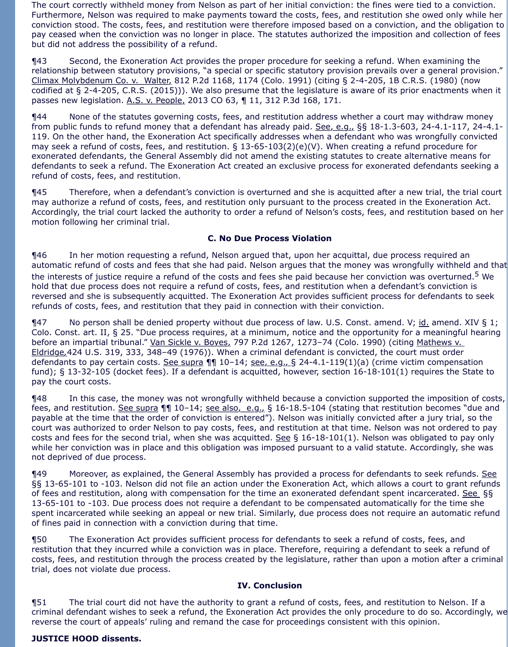The court correctly withheld money from Nelson as part of her initial conviction: the fines were tied to a conviction. Furthermore, Nelson was required to make payments toward the costs, fees, and restitution she owed only while her conviction stood. The costs, fees, and restitution were therefore imposed based on a conviction, and the obligation to pay ceased when the conviction was no longer in place. The statutes authorized the imposition and collection of fees but did not address the possibility of a refund.

¶43 Second, the Exoneration Act provides the proper procedure for seeking a refund. When examining the relationship between statutory provisions, "a special or specific statutory provision prevails over a general provision." Climax Molybdenum Co. v. Walter, 812 P.2d 1168, 1174 (Colo. 1991) (citing § 2-4-205, 1B C.R.S. (1980) (now codified at § 2-4-205, C.R.S. (2015))). We also presume that the legislature is aware of its prior enactments when it passes new legislation. A.S. v. People, 2013 CO 63, ¶ 11, 312 P.3d 168, 171.

¶44 None of the statutes governing costs, fees, and restitution address whether a court may withdraw money from public funds to refund money that a defendant has already paid. See, e.g., §§ 18-1.3-603, 24-4.1-117, 24-4.1- 119. On the other hand, the Exoneration Act specifically addresses when a defendant who was wrongfully convicted may seek a refund of costs, fees, and restitution. § 13-65-103(2)(e)(V). When creating a refund procedure for exonerated defendants, the General Assembly did not amend the existing statutes to create alternative means for defendants to seek a refund. The Exoneration Act created an exclusive process for exonerated defendants seeking a refund of costs, fees, and restitution.

¶45 Therefore, when a defendant's conviction is overturned and she is acquitted after a new trial, the trial court may authorize a refund of costs, fees, and restitution only pursuant to the process created in the Exoneration Act. Accordingly, the trial court lacked the authority to order a refund of Nelson's costs, fees, and restitution based on her motion following her criminal trial.

## **C. No Due Process Violation**

¶46 In her motion requesting a refund, Nelson argued that, upon her acquittal, due process required an automatic refund of costs and fees that she had paid. Nelson argues that the money was wrongfully withheld and that the interests of justice require a refund of the costs and fees she paid because her conviction was overturned.<sup>5</sup> We hold that due process does not require a refund of costs, fees, and restitution when a defendant's conviction is reversed and she is subsequently acquitted. The Exoneration Act provides sufficient process for defendants to seek refunds of costs, fees, and restitution that they paid in connection with their conviction.

¶47 No person shall be denied property without due process of law. U.S. Const. amend. V; id. amend. XIV § 1; Colo. Const. art. II, § 25. "Due process requires, at a minimum, notice and the opportunity for a meaningful hearing before an impartial tribunal." Van Sickle v. Boyes, 797 P.2d 1267, 1273-74 (Colo. 1990) (citing Mathews v. Eldridge*,*424 U.S. 319, 333, 348–49 (1976)). When a criminal defendant is convicted, the court must order defendants to pay certain costs. See supra  $\P\P$  10-14; see, e.g., § 24-4.1-119(1)(a) (crime victim compensation fund); § 13-32-105 (docket fees). If a defendant is acquitted, however, section 16-18-101(1) requires the State to pay the court costs.

¶48 In this case, the money was not wrongfully withheld because a conviction supported the imposition of costs, fees, and restitution. See supra  $\P\P$  10–14; see also, e.g., § 16-18.5-104 (stating that restitution becomes "due and payable at the time that the order of conviction is entered"). Nelson was initially convicted after a jury trial, so the court was authorized to order Nelson to pay costs, fees, and restitution at that time. Nelson was not ordered to pay costs and fees for the second trial, when she was acquitted. See  $\S$  16-18-101(1). Nelson was obligated to pay only while her conviction was in place and this obligation was imposed pursuant to a valid statute. Accordingly, she was not deprived of due process.

¶49 Moreover, as explained, the General Assembly has provided a process for defendants to seek refunds. See §§ 13-65-101 to -103. Nelson did not file an action under the Exoneration Act, which allows a court to grant refunds of fees and restitution, along with compensation for the time an exonerated defendant spent incarcerated. See §§ 13-65-101 to -103. Due process does not require a defendant to be compensated automatically for the time she spent incarcerated while seeking an appeal or new trial. Similarly, due process does not require an automatic refund of fines paid in connection with a conviction during that time.

¶50 The Exoneration Act provides sufficient process for defendants to seek a refund of costs, fees, and restitution that they incurred while a conviction was in place. Therefore, requiring a defendant to seek a refund of costs, fees, and restitution through the process created by the legislature, rather than upon a motion after a criminal trial, does not violate due process.

# **IV. Conclusion**

¶51 The trial court did not have the authority to grant a refund of costs, fees, and restitution to Nelson. If a criminal defendant wishes to seek a refund, the Exoneration Act provides the only procedure to do so. Accordingly, we reverse the court of appeals' ruling and remand the case for proceedings consistent with this opinion.

# **JUSTICE HOOD dissents.**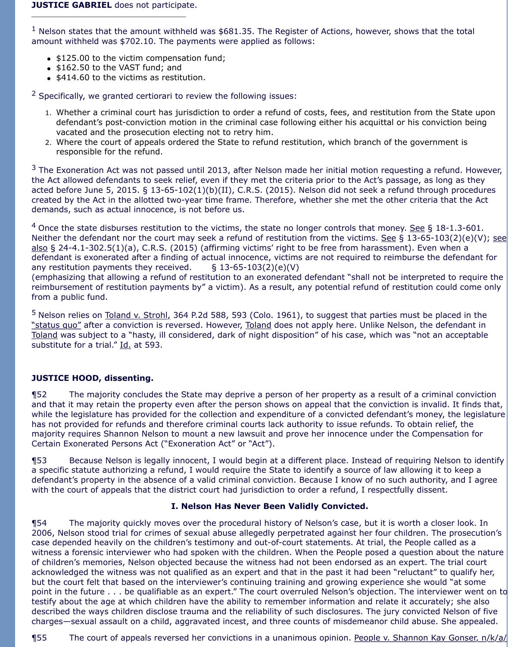#### **JUSTICE GABRIEL** does not participate.

 $<sup>1</sup>$  Nelson states that the amount withheld was \$681.35. The Register of Actions, however, shows that the total</sup> amount withheld was \$702.10. The payments were applied as follows:

- \$125.00 to the victim compensation fund;
- \$162.50 to the VAST fund; and
- \$414.60 to the victims as restitution.

 $2$  Specifically, we granted certiorari to review the following issues:

- 1. Whether a criminal court has jurisdiction to order a refund of costs, fees, and restitution from the State upon defendant's post-conviction motion in the criminal case following either his acquittal or his conviction being vacated and the prosecution electing not to retry him.
- 2. Where the court of appeals ordered the State to refund restitution, which branch of the government is responsible for the refund.

 $3$  The Exoneration Act was not passed until 2013, after Nelson made her initial motion requesting a refund. However, the Act allowed defendants to seek relief, even if they met the criteria prior to the Act's passage, as long as they acted before June 5, 2015. § 13-65-102(1)(b)(II), C.R.S. (2015). Nelson did not seek a refund through procedures created by the Act in the allotted two-year time frame. Therefore, whether she met the other criteria that the Act demands, such as actual innocence, is not before us.

 $4$  Once the state disburses restitution to the victims, the state no longer controls that money. See § 18-1.3-601. Neither the defendant nor the court may seek a refund of restitution from the victims. See § 13-65-103(2)(e)(V); see also § 24-4.1-302.5(1)(a), C.R.S. (2015) (affirming victims' right to be free from harassment). Even when a defendant is exonerated after a finding of actual innocence, victims are not required to reimburse the defendant for any restitution payments they received.  $\S$  13-65-103(2)(e)(V)

(emphasizing that allowing a refund of restitution to an exonerated defendant "shall not be interpreted to require the reimbursement of restitution payments by" a victim). As a result, any potential refund of restitution could come only from a public fund.

<sup>5</sup> Nelson relies on Toland v. Strohl, 364 P.2d 588, 593 (Colo. 1961), to suggest that parties must be placed in the "status quo" after a conviction is reversed. However, Toland does not apply here. Unlike Nelson, the defendant in Toland was subject to a "hasty, ill considered, dark of night disposition" of his case, which was "not an acceptable substitute for a trial." Id. at 593.

## **JUSTICE HOOD, dissenting.**

¶52 The majority concludes the State may deprive a person of her property as a result of a criminal conviction and that it may retain the property even after the person shows on appeal that the conviction is invalid. It finds that, while the legislature has provided for the collection and expenditure of a convicted defendant's money, the legislature has not provided for refunds and therefore criminal courts lack authority to issue refunds. To obtain relief, the majority requires Shannon Nelson to mount a new lawsuit and prove her innocence under the Compensation for Certain Exonerated Persons Act ("Exoneration Act" or "Act").

¶53 Because Nelson is legally innocent, I would begin at a different place. Instead of requiring Nelson to identify a specific statute authorizing a refund, I would require the State to identify a source of law allowing it to keep a defendant's property in the absence of a valid criminal conviction. Because I know of no such authority, and I agree with the court of appeals that the district court had jurisdiction to order a refund, I respectfully dissent.

## **I. Nelson Has Never Been Validly Convicted.**

¶54 The majority quickly moves over the procedural history of Nelson's case, but it is worth a closer look. In 2006, Nelson stood trial for crimes of sexual abuse allegedly perpetrated against her four children. The prosecution's case depended heavily on the children's testimony and out-of-court statements. At trial, the People called as a witness a forensic interviewer who had spoken with the children. When the People posed a question about the nature of children's memories, Nelson objected because the witness had not been endorsed as an expert. The trial court acknowledged the witness was not qualified as an expert and that in the past it had been "reluctant" to qualify her, but the court felt that based on the interviewer's continuing training and growing experience she would "at some point in the future . . . be qualifiable as an expert." The court overruled Nelson's objection. The interviewer went on to testify about the age at which children have the ability to remember information and relate it accurately; she also described the ways children disclose trauma and the reliability of such disclosures. The jury convicted Nelson of five charges—sexual assault on a child, aggravated incest, and three counts of misdemeanor child abuse. She appealed.

¶55 The court of appeals reversed her convictions in a unanimous opinion. People v. Shannon Kay Gonser, n/k/a/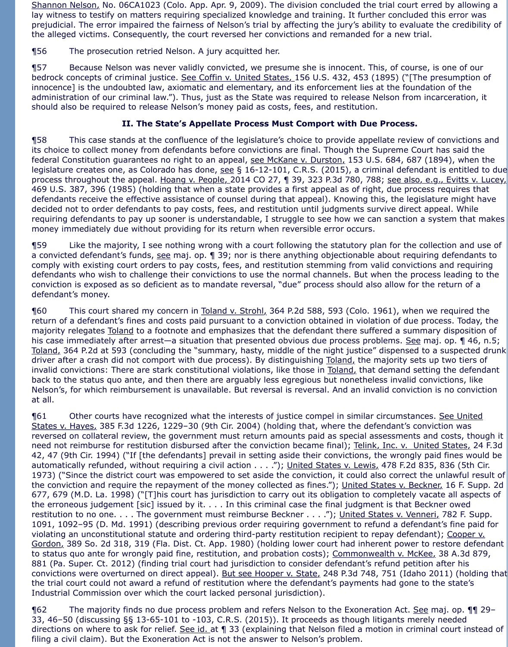Shannon Nelson, No. 06CA1023 (Colo. App. Apr. 9, 2009). The division concluded the trial court erred by allowing a lay witness to testify on matters requiring specialized knowledge and training. It further concluded this error was prejudicial. The error impaired the fairness of Nelson's trial by affecting the jury's ability to evaluate the credibility of the alleged victims. Consequently, the court reversed her convictions and remanded for a new trial.

¶56 The prosecution retried Nelson. A jury acquitted her.

¶57 Because Nelson was never validly convicted, we presume she is innocent. This, of course, is one of our bedrock concepts of criminal justice. See Coffin v. United States, 156 U.S. 432, 453 (1895) ("[The presumption of innocence] is the undoubted law, axiomatic and elementary, and its enforcement lies at the foundation of the administration of our criminal law."). Thus, just as the State was required to release Nelson from incarceration, it should also be required to release Nelson's money paid as costs, fees, and restitution.

# **II. The State's Appellate Process Must Comport with Due Process.**

¶58 This case stands at the confluence of the legislature's choice to provide appellate review of convictions and its choice to collect money from defendants before convictions are final. Though the Supreme Court has said the federal Constitution guarantees no right to an appeal, see McKane v. Durston, 153 U.S. 684, 687 (1894), when the legislature creates one, as Colorado has done, see § 16-12-101, C.R.S. (2015), a criminal defendant is entitled to due process throughout the appeal. Hoang v. People, 2014 CO 27, 1 39, 323 P.3d 780, 788; see also, e.g., Evitts v. Lucey, 469 U.S. 387, 396 (1985) (holding that when a state provides a first appeal as of right, due process requires that defendants receive the effective assistance of counsel during that appeal). Knowing this, the legislature might have decided not to order defendants to pay costs, fees, and restitution until judgments survive direct appeal. While requiring defendants to pay up sooner is understandable, I struggle to see how we can sanction a system that makes money immediately due without providing for its return when reversible error occurs.

¶59 Like the majority, I see nothing wrong with a court following the statutory plan for the collection and use of a convicted defendant's funds, see maj. op. 1 39; nor is there anything objectionable about requiring defendants to comply with existing court orders to pay costs, fees, and restitution stemming from valid convictions and requiring defendants who wish to challenge their convictions to use the normal channels. But when the process leading to the conviction is exposed as so deficient as to mandate reversal, "due" process should also allow for the return of a defendant's money.

¶60 This court shared my concern in Toland v. Strohl, 364 P.2d 588, 593 (Colo. 1961), when we required the return of a defendant's fines and costs paid pursuant to a conviction obtained in violation of due process. Today, the majority relegates Toland to a footnote and emphasizes that the defendant there suffered a summary disposition of his case immediately after arrest—a situation that presented obvious due process problems. See maj. op. ¶ 46, n.5; Toland, 364 P.2d at 593 (concluding the "summary, hasty, middle of the night justice" dispensed to a suspected drunk driver after a crash did not comport with due process). By distinguishing Toland, the majority sets up two tiers of invalid convictions: There are stark constitutional violations, like those in Toland, that demand setting the defendant back to the status quo ante, and then there are arguably less egregious but nonetheless invalid convictions, like Nelson's, for which reimbursement is unavailable. But reversal is reversal. And an invalid conviction is no conviction at all.

¶61 Other courts have recognized what the interests of justice compel in similar circumstances. See United States v. Hayes, 385 F.3d 1226, 1229-30 (9th Cir. 2004) (holding that, where the defendant's conviction was reversed on collateral review, the government must return amounts paid as special assessments and costs, though it need not reimburse for restitution disbursed after the conviction became final); Telink, Inc. v. United States, 24 F.3d 42, 47 (9th Cir. 1994) ("If [the defendants] prevail in setting aside their convictions, the wrongly paid fines would be automatically refunded, without requiring a civil action . . . ."); United States v. Lewis, 478 F.2d 835, 836 (5th Cir. 1973) ("Since the district court was empowered to set aside the conviction, it could also correct the unlawful result of the conviction and require the repayment of the money collected as fines."); United States v. Beckner, 16 F. Supp. 2d 677, 679 (M.D. La. 1998) ("[T]his court has jurisdiction to carry out its obligation to completely vacate all aspects of the erroneous judgement [sic] issued by it. . . . In this criminal case the final judgment is that Beckner owed restitution to no one. . . . The government must reimburse Beckner . . . ."); United States v. Venneri, 782 F. Supp. 1091, 1092–95 (D. Md. 1991) (describing previous order requiring government to refund a defendant's fine paid for violating an unconstitutional statute and ordering third-party restitution recipient to repay defendant); Cooper v. Gordon, 389 So. 2d 318, 319 (Fla. Dist. Ct. App. 1980) (holding lower court had inherent power to restore defendant to status quo ante for wrongly paid fine, restitution, and probation costs); Commonwealth v. McKee, 38 A.3d 879, 881 (Pa. Super. Ct. 2012) (finding trial court had jurisdiction to consider defendant's refund petition after his convictions were overturned on direct appeal). But see Hooper v. State, 248 P.3d 748, 751 (Idaho 2011) (holding that the trial court could not award a refund of restitution where the defendant's payments had gone to the state's Industrial Commission over which the court lacked personal jurisdiction).

¶62 The majority finds no due process problem and refers Nelson to the Exoneration Act. See maj. op. ¶¶ 29– 33, 46–50 (discussing §§ 13-65-101 to -103, C.R.S. (2015)). It proceeds as though litigants merely needed directions on where to ask for relief. See id. at 1 33 (explaining that Nelson filed a motion in criminal court instead of filing a civil claim). But the Exoneration Act is not the answer to Nelson's problem.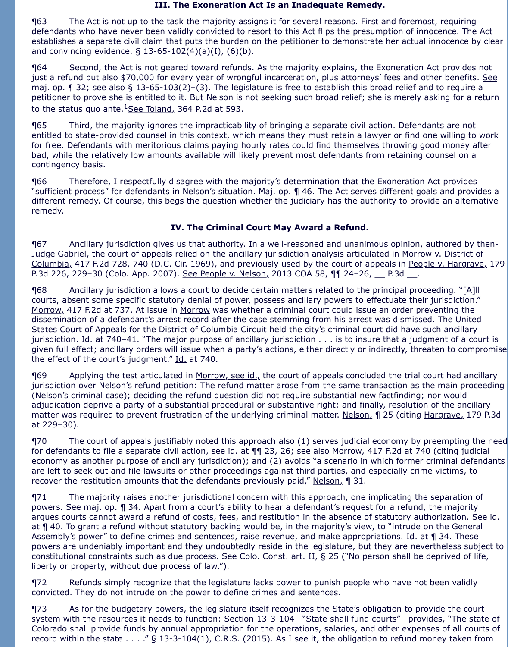#### **III. The Exoneration Act Is an Inadequate Remedy.**

¶63 The Act is not up to the task the majority assigns it for several reasons. First and foremost, requiring defendants who have never been validly convicted to resort to this Act flips the presumption of innocence. The Act establishes a separate civil claim that puts the burden on the petitioner to demonstrate her actual innocence by clear and convincing evidence.  $\S$  13-65-102(4)(a)(I), (6)(b).

¶64 Second, the Act is not geared toward refunds. As the majority explains, the Exoneration Act provides not just a refund but also \$70,000 for every year of wrongful incarceration, plus attorneys' fees and other benefits. See maj. op. 1 32; see also § 13-65-103(2)–(3). The legislature is free to establish this broad relief and to require a petitioner to prove she is entitled to it. But Nelson is not seeking such broad relief; she is merely asking for a return to the status quo ante. $1$ See Toland, 364 P.2d at 593.

¶65 Third, the majority ignores the impracticability of bringing a separate civil action. Defendants are not entitled to state-provided counsel in this context, which means they must retain a lawyer or find one willing to work for free. Defendants with meritorious claims paying hourly rates could find themselves throwing good money after bad, while the relatively low amounts available will likely prevent most defendants from retaining counsel on a contingency basis.

¶66 Therefore, I respectfully disagree with the majority's determination that the Exoneration Act provides "sufficient process" for defendants in Nelson's situation. Maj. op. ¶ 46. The Act serves different goals and provides a different remedy. Of course, this begs the question whether the judiciary has the authority to provide an alternative remedy.

# **IV. The Criminal Court May Award a Refund.**

¶67 Ancillary jurisdiction gives us that authority. In a well-reasoned and unanimous opinion, authored by then-Judge Gabriel, the court of appeals relied on the ancillary jurisdiction analysis articulated in Morrow v. District of Columbia, 417 F.2d 728, 740 (D.C. Cir. 1969), and previously used by the court of appeals in People v. Hargrave, 179 P.3d 226, 229-30 (Colo. App. 2007). See People v. Nelson, 2013 COA 58, 11 24-26, 1 P.3d ...

¶68 Ancillary jurisdiction allows a court to decide certain matters related to the principal proceeding. "[A]ll courts, absent some specific statutory denial of power, possess ancillary powers to effectuate their jurisdiction." Morrow, 417 F.2d at 737. At issue in Morrow was whether a criminal court could issue an order preventing the dissemination of a defendant's arrest record after the case stemming from his arrest was dismissed. The United States Court of Appeals for the District of Columbia Circuit held the city's criminal court did have such ancillary jurisdiction. Id. at 740-41. "The major purpose of ancillary jurisdiction . . . is to insure that a judgment of a court is given full effect; ancillary orders will issue when a party's actions, either directly or indirectly, threaten to compromise the effect of the court's judgment." Id. at 740.

**169** Applying the test articulated in Morrow, see id., the court of appeals concluded the trial court had ancillary jurisdiction over Nelson's refund petition: The refund matter arose from the same transaction as the main proceeding (Nelson's criminal case); deciding the refund question did not require substantial new factfinding; nor would adjudication deprive a party of a substantial procedural or substantive right; and finally, resolution of the ancillary matter was required to prevent frustration of the underlying criminal matter. Nelson, 1 25 (citing Hargrave, 179 P.3d at 229–30).

¶70 The court of appeals justifiably noted this approach also (1) serves judicial economy by preempting the need for defendants to file a separate civil action, see id. at ¶¶ 23, 26; see also Morrow, 417 F.2d at 740 (citing judicial economy as another purpose of ancillary jurisdiction); and (2) avoids "a scenario in which former criminal defendants are left to seek out and file lawsuits or other proceedings against third parties, and especially crime victims, to recover the restitution amounts that the defendants previously paid," Nelson, ¶ 31.

¶71 The majority raises another jurisdictional concern with this approach, one implicating the separation of powers. See maj. op. 1 34. Apart from a court's ability to hear a defendant's request for a refund, the majority argues courts cannot award a refund of costs, fees, and restitution in the absence of statutory authorization. See id. at ¶ 40. To grant a refund without statutory backing would be, in the majority's view, to "intrude on the General Assembly's power" to define crimes and sentences, raise revenue, and make appropriations. Id. at 134. These powers are undeniably important and they undoubtedly reside in the legislature, but they are nevertheless subject to constitutional constraints such as due process. See Colo. Const. art. II, § 25 ("No person shall be deprived of life, liberty or property, without due process of law.").

¶72 Refunds simply recognize that the legislature lacks power to punish people who have not been validly convicted. They do not intrude on the power to define crimes and sentences.

¶73 As for the budgetary powers, the legislature itself recognizes the State's obligation to provide the court system with the resources it needs to function: Section 13-3-104—"State shall fund courts"—provides, "The state of Colorado shall provide funds by annual appropriation for the operations, salaries, and other expenses of all courts of record within the state . . . ." § 13-3-104(1), C.R.S. (2015). As I see it, the obligation to refund money taken from